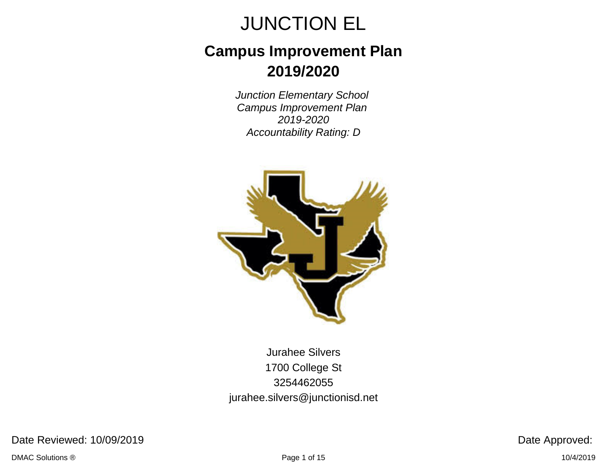## **Campus Improvement Plan 2019/2020**

Junction Elementary School Campus Improvement Plan 2019-2020 Accountability Rating: D



Jurahee Silvers 1700 College St 3254462055 jurahee.silvers@junctionisd.net

Date Reviewed: 10/09/2019 **Date Approved:**  $\blacksquare$ 

DMAC Solutions ® Page 1 of 15 10/4/2019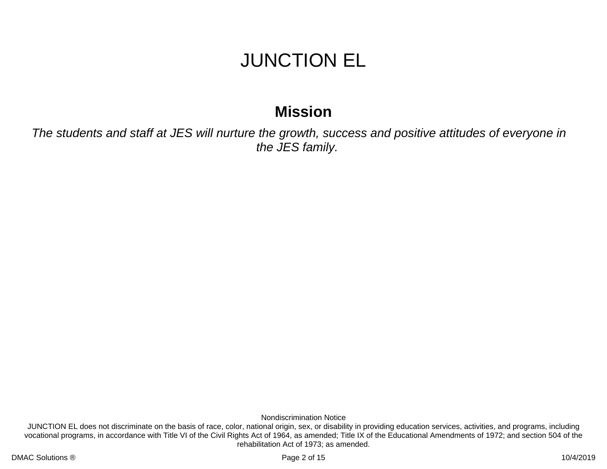### **Mission**

The students and staff at JES will nurture the growth, success and positive attitudes of everyone in the JES family.

Nondiscrimination Notice

JUNCTION EL does not discriminate on the basis of race, color, national origin, sex, or disability in providing education services, activities, and programs, including vocational programs, in accordance with Title VI of the Civil Rights Act of 1964, as amended; Title IX of the Educational Amendments of 1972; and section 504 of the rehabilitation Act of 1973; as amended.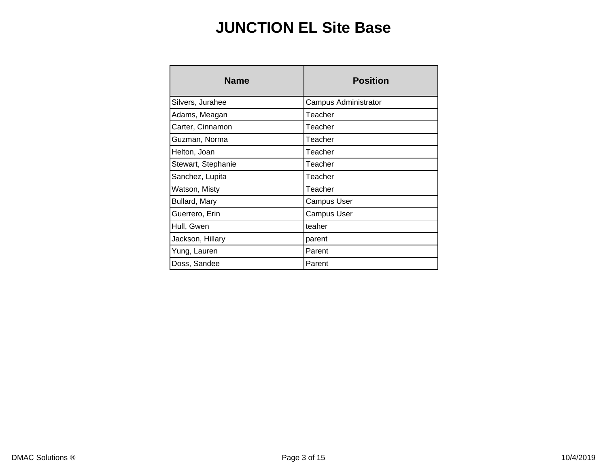### **JUNCTION EL Site Base**

| <b>Name</b>          | <b>Position</b>      |
|----------------------|----------------------|
| Silvers, Jurahee     | Campus Administrator |
| Adams, Meagan        | Teacher              |
| Carter, Cinnamon     | Teacher              |
| Guzman, Norma        | Teacher              |
| Helton, Joan         | Teacher              |
| Stewart, Stephanie   | Teacher              |
| Sanchez, Lupita      | Teacher              |
| Watson, Misty        | Teacher              |
| <b>Bullard, Mary</b> | <b>Campus User</b>   |
| Guerrero, Erin       | <b>Campus User</b>   |
| Hull, Gwen           | teaher               |
| Jackson, Hillary     | parent               |
| Yung, Lauren         | Parent               |
| Doss, Sandee         | Parent               |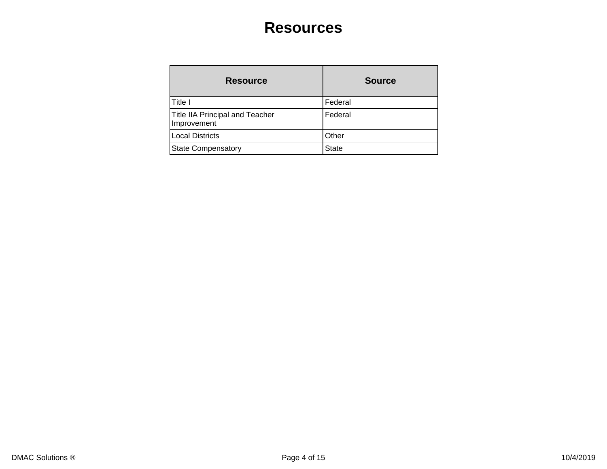### **Resources**

| <b>Resource</b>                                       | <b>Source</b> |
|-------------------------------------------------------|---------------|
| Title I                                               | Federal       |
| <b>Title IIA Principal and Teacher</b><br>Improvement | Federal       |
| <b>Local Districts</b>                                | Other         |
| <b>State Compensatory</b>                             | <b>State</b>  |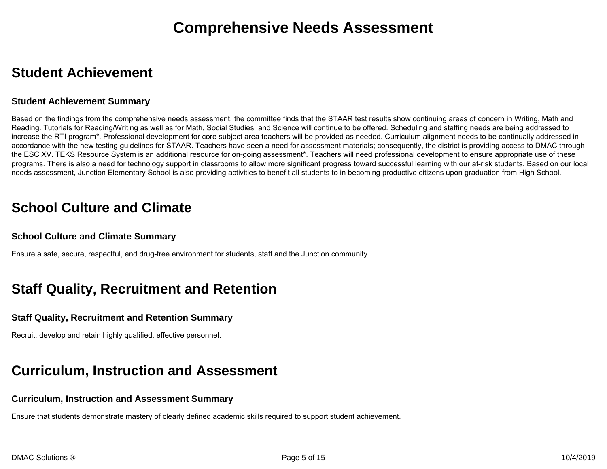### **Student Achievement**

#### **Student Achievement Summary**

Based on the findings from the comprehensive needs assessment, the committee finds that the STAAR test results show continuing areas of concern in Writing, Math and Reading. Tutorials for Reading/Writing as well as for Math, Social Studies, and Science will continue to be offered. Scheduling and staffing needs are being addressed to increase the RTI program\*. Professional development for core subject area teachers will be provided as needed. Curriculum alignment needs to be continually addressed in accordance with the new testing guidelines for STAAR. Teachers have seen a need for assessment materials; consequently, the district is providing access to DMAC through the ESC XV. TEKS Resource System is an additional resource for on-going assessment\*. Teachers will need professional development to ensure appropriate use of these programs. There is also a need for technology support in classrooms to allow more significant progress toward successful learning with our at-risk students. Based on our local needs assessment, Junction Elementary School is also providing activities to benefit all students to in becoming productive citizens upon graduation from High School.

### **School Culture and Climate**

#### **School Culture and Climate Summary**

Ensure a safe, secure, respectful, and drug-free environment for students, staff and the Junction community.

### **Staff Quality, Recruitment and Retention**

#### **Staff Quality, Recruitment and Retention Summary**

Recruit, develop and retain highly qualified, effective personnel.

### **Curriculum, Instruction and Assessment**

#### **Curriculum, Instruction and Assessment Summary**

Ensure that students demonstrate mastery of clearly defined academic skills required to support student achievement.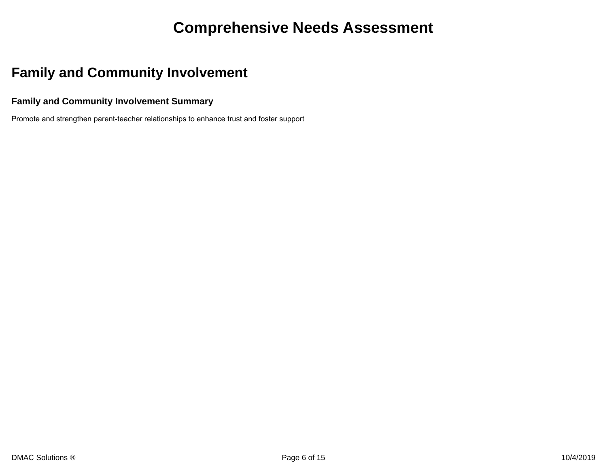### **Comprehensive Needs Assessment**

### **Family and Community Involvement**

#### **Family and Community Involvement Summary**

Promote and strengthen parent-teacher relationships to enhance trust and foster support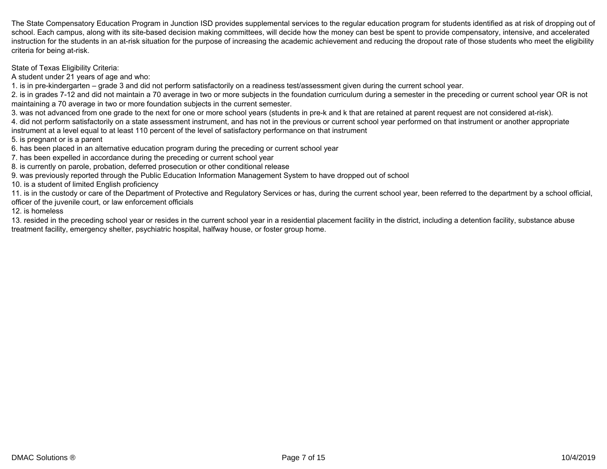The State Compensatory Education Program in Junction ISD provides supplemental services to the regular education program for students identified as at risk of dropping out of school. Each campus, along with its site-based decision making committees, will decide how the money can best be spent to provide compensatory, intensive, and accelerated instruction for the students in an at-risk situation for the purpose of increasing the academic achievement and reducing the dropout rate of those students who meet the eligibility criteria for being at-risk.

State of Texas Eligibility Criteria:

A student under 21 years of age and who:

1. is in pre-kindergarten – grade 3 and did not perform satisfactorily on a readiness test/assessment given during the current school year.

2. is in grades 7-12 and did not maintain a 70 average in two or more subjects in the foundation curriculum during a semester in the preceding or current school year OR is not maintaining a 70 average in two or more foundation subjects in the current semester.

3. was not advanced from one grade to the next for one or more school years (students in pre-k and k that are retained at parent request are not considered at-risk).

4. did not perform satisfactorily on a state assessment instrument, and has not in the previous or current school year performed on that instrument or another appropriate instrument at a level equal to at least 110 percent of the level of satisfactory performance on that instrument

5. is pregnant or is a parent

6. has been placed in an alternative education program during the preceding or current school year

7. has been expelled in accordance during the preceding or current school year

8. is currently on parole, probation, deferred prosecution or other conditional release

9. was previously reported through the Public Education Information Management System to have dropped out of school

10. is a student of limited English proficiency

11. is in the custody or care of the Department of Protective and Regulatory Services or has, during the current school year, been referred to the department by a school official, officer of the juvenile court, or law enforcement officials

12. is homeless

13. resided in the preceding school year or resides in the current school year in a residential placement facility in the district, including a detention facility, substance abuse treatment facility, emergency shelter, psychiatric hospital, halfway house, or foster group home.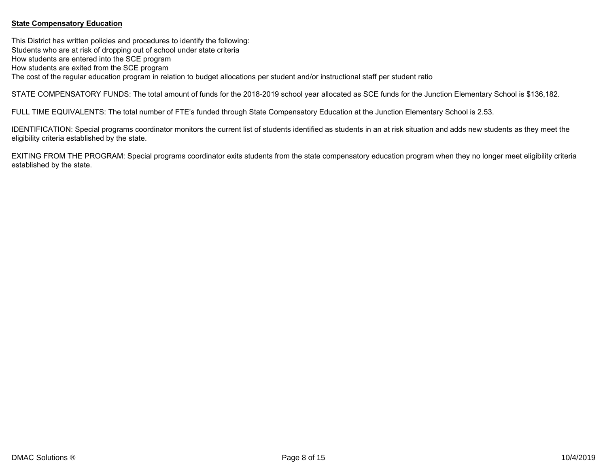#### **State Compensatory Education**

This District has written policies and procedures to identify the following: Students who are at risk of dropping out of school under state criteria How students are entered into the SCE program How students are exited from the SCE program The cost of the regular education program in relation to budget allocations per student and/or instructional staff per student ratio

STATE COMPENSATORY FUNDS: The total amount of funds for the 2018-2019 school year allocated as SCE funds for the Junction Elementary School is \$136,182.

FULL TIME EQUIVALENTS: The total number of FTE's funded through State Compensatory Education at the Junction Elementary School is 2.53.

IDENTIFICATION: Special programs coordinator monitors the current list of students identified as students in an at risk situation and adds new students as they meet the eligibility criteria established by the state.

EXITING FROM THE PROGRAM: Special programs coordinator exits students from the state compensatory education program when they no longer meet eligibility criteria established by the state.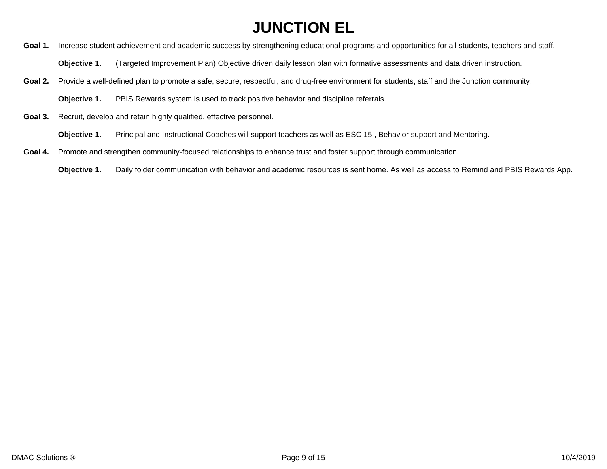Goal 1. Increase student achievement and academic success by strengthening educational programs and opportunities for all students, teachers and staff.

**Objective 1.** (Targeted Improvement Plan) Objective driven daily lesson plan with formative assessments and data driven instruction.

- Goal 2. Provide a well-defined plan to promote a safe, secure, respectful, and drug-free environment for students, staff and the Junction community.
	- **Objective 1.** PBIS Rewards system is used to track positive behavior and discipline referrals.
- **Goal 3.** Recruit, develop and retain highly qualified, effective personnel.
	- **Objective 1.** Principal and Instructional Coaches will support teachers as well as ESC 15 , Behavior support and Mentoring.
- **Goal 4.** Promote and strengthen community-focused relationships to enhance trust and foster support through communication.
	- **Objective 1.** Daily folder communication with behavior and academic resources is sent home. As well as access to Remind and PBIS Rewards App.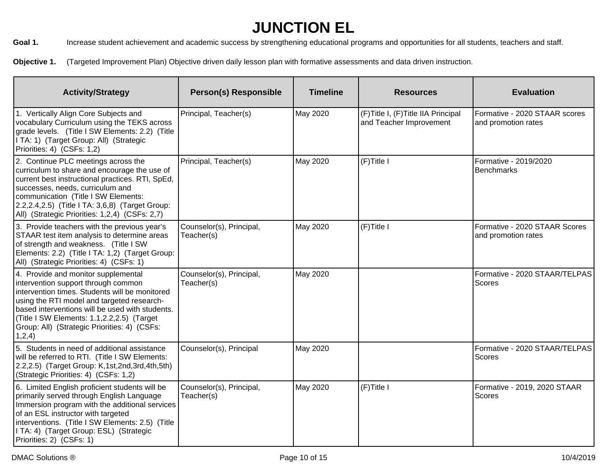Goal 1. Increase student achievement and academic success by strengthening educational programs and opportunities for all students, teachers and staff.

Objective 1. (Targeted Improvement Plan) Objective driven daily lesson plan with formative assessments and data driven instruction.

| <b>Activity/Strategy</b>                                                                                                                                                                                                                                                                                                              | <b>Person(s) Responsible</b>           | <b>Timeline</b> | <b>Resources</b>                                                | <b>Evaluation</b>                                    |
|---------------------------------------------------------------------------------------------------------------------------------------------------------------------------------------------------------------------------------------------------------------------------------------------------------------------------------------|----------------------------------------|-----------------|-----------------------------------------------------------------|------------------------------------------------------|
| 1. Vertically Align Core Subjects and<br>vocabulary Curriculum using the TEKS across<br>grade levels. (Title I SW Elements: 2.2) (Title<br>I TA: 1) (Target Group: All) (Strategic<br>Priorities: 4) (CSFs: 1,2)                                                                                                                      | Principal, Teacher(s)                  | May 2020        | (F) Title I, (F) Title IIA Principal<br>and Teacher Improvement | Formative - 2020 STAAR scores<br>and promotion rates |
| 2. Continue PLC meetings across the<br>curriculum to share and encourage the use of<br>current best instructional practices. RTI, SpEd,<br>successes, needs, curriculum and<br>communication (Title I SW Elements:<br>2.2, 2.4, 2.5) (Title I TA: 3, 6, 8) (Target Group:<br>All) (Strategic Priorities: 1,2,4) (CSFs: 2,7)           | Principal, Teacher(s)                  | May 2020        | (F)Title I                                                      | Formative - 2019/2020<br>Benchmarks                  |
| 3. Provide teachers with the previous year's<br>STAAR test item analysis to determine areas<br>of strength and weakness. (Title I SW<br>Elements: 2.2) (Title I TA: 1,2) (Target Group:<br>All) (Strategic Priorities: 4) (CSFs: 1)                                                                                                   | Counselor(s), Principal,<br>Teacher(s) | May 2020        | $(F)$ Title I                                                   | Formative - 2020 STAAR Scores<br>and promotion rates |
| 4. Provide and monitor supplemental<br>intervention support through common<br>intervention times. Students will be monitored<br>using the RTI model and targeted research-<br>based interventions will be used with students.<br>(Title I SW Elements: 1.1,2.2,2.5) (Target<br>Group: All) (Strategic Priorities: 4) (CSFs:<br>1,2,4) | Counselor(s), Principal,<br>Teacher(s) | May 2020        |                                                                 | Formative - 2020 STAAR/TELPAS<br>Scores              |
| 5. Students in need of additional assistance<br>will be referred to RTI. (Title I SW Elements:<br>2.2,2.5) (Target Group: K,1st,2nd,3rd,4th,5th)<br>(Strategic Priorities: 4) (CSFs: 1,2)                                                                                                                                             | Counselor(s), Principal                | May 2020        |                                                                 | Formative - 2020 STAAR/TELPAS<br>Scores              |
| 6. Limited English proficient students will be<br>primarily served through English Language<br>Immersion program with the additional services<br>of an ESL instructor with targeted<br>interventions. (Title I SW Elements: 2.5) (Title<br>I TA: 4) (Target Group: ESL) (Strategic<br>Priorities: 2) (CSFs: 1)                        | Counselor(s), Principal,<br>Teacher(s) | May 2020        | (F)Title I                                                      | Formative - 2019, 2020 STAAR<br>Scores               |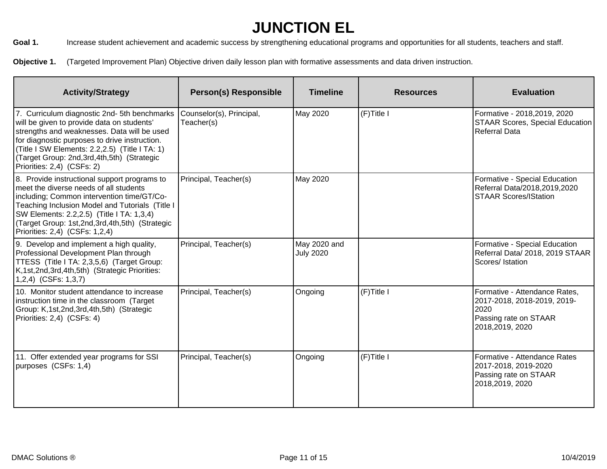Goal 1. Increase student achievement and academic success by strengthening educational programs and opportunities for all students, teachers and staff.

Objective 1. (Targeted Improvement Plan) Objective driven daily lesson plan with formative assessments and data driven instruction.

| <b>Activity/Strategy</b>                                                                                                                                                                                                                                                                                                     | <b>Person(s) Responsible</b>           | <b>Timeline</b>                  | <b>Resources</b> | <b>Evaluation</b>                                                                                                |
|------------------------------------------------------------------------------------------------------------------------------------------------------------------------------------------------------------------------------------------------------------------------------------------------------------------------------|----------------------------------------|----------------------------------|------------------|------------------------------------------------------------------------------------------------------------------|
| 7. Curriculum diagnostic 2nd- 5th benchmarks<br>will be given to provide data on students'<br>strengths and weaknesses. Data will be used<br>for diagnostic purposes to drive instruction.<br>(Title I SW Elements: 2.2,2.5) (Title I TA: 1)<br>(Target Group: 2nd, 3rd, 4th, 5th) (Strategic<br>Priorities: 2,4) (CSFs: 2)  | Counselor(s), Principal,<br>Teacher(s) | May 2020                         | $(F)$ Title I    | Formative - 2018, 2019, 2020<br>STAAR Scores, Special Education<br><b>Referral Data</b>                          |
| 8. Provide instructional support programs to<br>meet the diverse needs of all students<br>including; Common intervention time/GT/Co-<br>Teaching Inclusion Model and Tutorials (Title I<br>SW Elements: 2.2,2.5) (Title I TA: 1,3,4)<br>(Target Group: 1st, 2nd, 3rd, 4th, 5th) (Strategic<br>Priorities: 2,4) (CSFs: 1,2,4) | Principal, Teacher(s)                  | May 2020                         |                  | Formative - Special Education<br>Referral Data/2018,2019,2020<br><b>STAAR Scores/IStation</b>                    |
| 9. Develop and implement a high quality,<br>Professional Development Plan through<br>TTESS (Title I TA: 2,3,5,6) (Target Group:<br>K,1st,2nd,3rd,4th,5th) (Strategic Priorities:<br>$(1,2,4)$ (CSFs: 1,3,7)                                                                                                                  | Principal, Teacher(s)                  | May 2020 and<br><b>July 2020</b> |                  | Formative - Special Education<br>Referral Data/ 2018, 2019 STAAR<br>Scores/ Istation                             |
| 10. Monitor student attendance to increase<br>instruction time in the classroom (Target)<br>Group: K,1st,2nd,3rd,4th,5th) (Strategic<br>Priorities: 2,4) (CSFs: 4)                                                                                                                                                           | Principal, Teacher(s)                  | Ongoing                          | (F)Title I       | Formative - Attendance Rates,<br>2017-2018, 2018-2019, 2019-<br>2020<br>Passing rate on STAAR<br>2018,2019, 2020 |
| 11. Offer extended year programs for SSI<br>purposes (CSFs: 1,4)                                                                                                                                                                                                                                                             | Principal, Teacher(s)                  | Ongoing                          | (F)Title I       | Formative - Attendance Rates<br>2017-2018, 2019-2020<br>Passing rate on STAAR<br>2018,2019, 2020                 |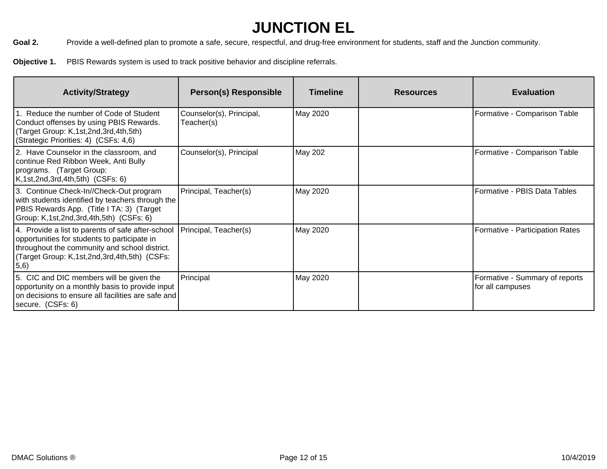Goal 2. Provide a well-defined plan to promote a safe, secure, respectful, and drug-free environment for students, staff and the Junction community.

**Objective 1.** PBIS Rewards system is used to track positive behavior and discipline referrals.

| <b>Activity/Strategy</b>                                                                                                                                                                                   | <b>Person(s) Responsible</b>           | <b>Timeline</b> | <b>Resources</b> | <b>Evaluation</b>                                  |
|------------------------------------------------------------------------------------------------------------------------------------------------------------------------------------------------------------|----------------------------------------|-----------------|------------------|----------------------------------------------------|
| . Reduce the number of Code of Student<br>Conduct offenses by using PBIS Rewards.<br>(Target Group: K,1st,2nd,3rd,4th,5th)<br>(Strategic Priorities: 4) (CSFs: 4,6)                                        | Counselor(s), Principal,<br>Teacher(s) | May 2020        |                  | Formative - Comparison Table                       |
| 2. Have Counselor in the classroom, and<br>continue Red Ribbon Week, Anti Bully<br>programs. (Target Group:<br>K,1st,2nd,3rd,4th,5th) (CSFs: 6)                                                            | Counselor(s), Principal                | May 202         |                  | Formative - Comparison Table                       |
| 3. Continue Check-In//Check-Out program<br>with students identified by teachers through the<br>PBIS Rewards App. (Title I TA: 3) (Target<br>Group: K,1st,2nd,3rd,4th,5th) (CSFs: 6)                        | Principal, Teacher(s)                  | May 2020        |                  | Formative - PBIS Data Tables                       |
| 4. Provide a list to parents of safe after-school<br>opportunities for students to participate in<br>throughout the community and school district.<br>(Target Group: K,1st,2nd,3rd,4th,5th) (CSFs:<br>5,6) | Principal, Teacher(s)                  | May 2020        |                  | Formative - Participation Rates                    |
| 5. CIC and DIC members will be given the<br>opportunity on a monthly basis to provide input<br>on decisions to ensure all facilities are safe and<br>secure. (CSFs: 6)                                     | Principal                              | May 2020        |                  | Formative - Summary of reports<br>for all campuses |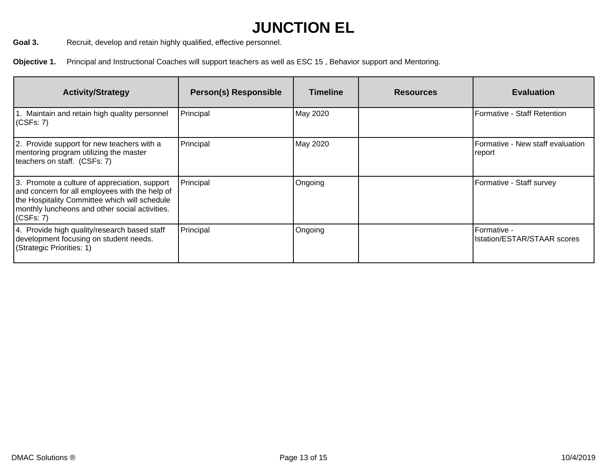Goal 3. Recruit, develop and retain highly qualified, effective personnel.

**Objective 1.** Principal and Instructional Coaches will support teachers as well as ESC 15 , Behavior support and Mentoring.

| <b>Activity/Strategy</b>                                                                                                                                                                                            | <b>Person(s) Responsible</b> | <b>Timeline</b> | <b>Resources</b> | <b>Evaluation</b>                                 |
|---------------------------------------------------------------------------------------------------------------------------------------------------------------------------------------------------------------------|------------------------------|-----------------|------------------|---------------------------------------------------|
| Maintain and retain high quality personnel<br>(CSFs: 7)                                                                                                                                                             | Principal                    | May 2020        |                  | Formative - Staff Retention                       |
| 2. Provide support for new teachers with a<br>mentoring program utilizing the master<br>teachers on staff. (CSFs: 7)                                                                                                | Principal                    | May 2020        |                  | Formative - New staff evaluation<br>report        |
| 3. Promote a culture of appreciation, support<br>and concern for all employees with the help of<br>the Hospitality Committee which will schedule<br>monthly luncheons and other social activities.<br>$ $ (CSFs: 7) | Principal                    | Ongoing         |                  | Formative - Staff survey                          |
| 4. Provide high quality/research based staff<br>development focusing on student needs.<br>(Strategic Priorities: 1)                                                                                                 | Principal                    | Ongoing         |                  | Formative -<br><b>Istation/ESTAR/STAAR scores</b> |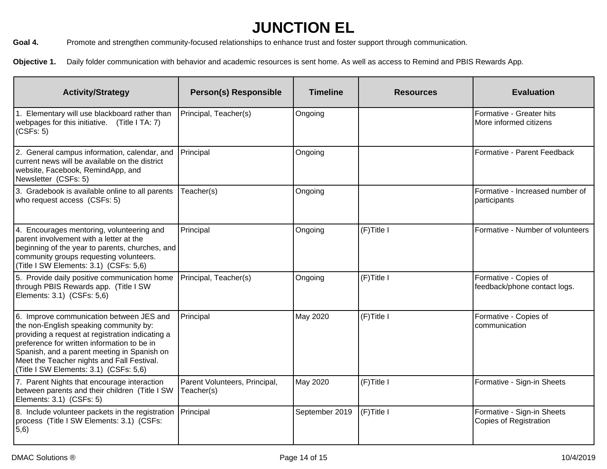Goal 4. Promote and strengthen community-focused relationships to enhance trust and foster support through communication.

**Objective 1.** Daily folder communication with behavior and academic resources is sent home. As well as access to Remind and PBIS Rewards App.

| <b>Activity/Strategy</b>                                                                                                                                                                                                                                                                                                     | <b>Person(s) Responsible</b>                | <b>Timeline</b> | <b>Resources</b> | <b>Evaluation</b>                                           |
|------------------------------------------------------------------------------------------------------------------------------------------------------------------------------------------------------------------------------------------------------------------------------------------------------------------------------|---------------------------------------------|-----------------|------------------|-------------------------------------------------------------|
| 1. Elementary will use blackboard rather than<br>webpages for this initiative. (Title I TA: 7)<br>(CSFs: 5)                                                                                                                                                                                                                  | Principal, Teacher(s)                       | Ongoing         |                  | Formative - Greater hits<br>More informed citizens          |
| 2. General campus information, calendar, and<br>current news will be available on the district<br>website, Facebook, RemindApp, and<br>Newsletter (CSFs: 5)                                                                                                                                                                  | Principal                                   | Ongoing         |                  | Formative - Parent Feedback                                 |
| 3. Gradebook is available online to all parents<br>who request access (CSFs: 5)                                                                                                                                                                                                                                              | Teacher(s)                                  | Ongoing         |                  | Formative - Increased number of<br>participants             |
| 4. Encourages mentoring, volunteering and<br>parent involvement with a letter at the<br>beginning of the year to parents, churches, and<br>community groups requesting volunteers.<br>(Title I SW Elements: 3.1) (CSFs: 5,6)                                                                                                 | Principal                                   | Ongoing         | (F)Title I       | Formative - Number of volunteers                            |
| 5. Provide daily positive communication home<br>through PBIS Rewards app. (Title I SW<br>Elements: 3.1) (CSFs: 5,6)                                                                                                                                                                                                          | Principal, Teacher(s)                       | Ongoing         | $(F)$ Title I    | Formative - Copies of<br>feedback/phone contact logs.       |
| 6. Improve communication between JES and<br>the non-English speaking community by:<br>providing a request at registration indicating a<br>preference for written information to be in<br>Spanish, and a parent meeting in Spanish on<br>Meet the Teacher nights and Fall Festival.<br>(Title I SW Elements: 3.1) (CSFs: 5,6) | Principal                                   | May 2020        | $(F)$ Title I    | Formative - Copies of<br>communication                      |
| 7. Parent Nights that encourage interaction<br>between parents and their children (Title I SW<br>Elements: 3.1) (CSFs: 5)                                                                                                                                                                                                    | Parent Volunteers, Principal,<br>Teacher(s) | May 2020        | (F)Title I       | Formative - Sign-in Sheets                                  |
| 8. Include volunteer packets in the registration<br>process (Title I SW Elements: 3.1) (CSFs:<br>(5,6)                                                                                                                                                                                                                       | Principal                                   | September 2019  | (F)Title I       | Formative - Sign-in Sheets<br><b>Copies of Registration</b> |